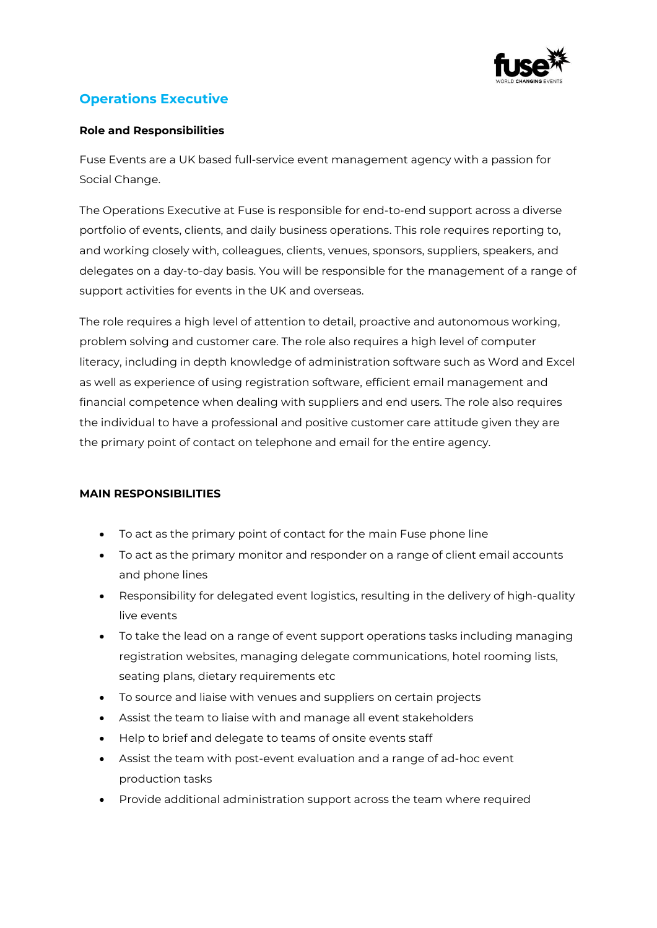

## **Operations Executive**

## **Role and Responsibilities**

Fuse Events are a UK based full-service event management agency with a passion for Social Change.

The Operations Executive at Fuse is responsible for end-to-end support across a diverse portfolio of events, clients, and daily business operations. This role requires reporting to, and working closely with, colleagues, clients, venues, sponsors, suppliers, speakers, and delegates on a day-to-day basis. You will be responsible for the management of a range of support activities for events in the UK and overseas.

The role requires a high level of attention to detail, proactive and autonomous working, problem solving and customer care. The role also requires a high level of computer literacy, including in depth knowledge of administration software such as Word and Excel as well as experience of using registration software, efficient email management and financial competence when dealing with suppliers and end users. The role also requires the individual to have a professional and positive customer care attitude given they are the primary point of contact on telephone and email for the entire agency.

## **MAIN RESPONSIBILITIES**

- To act as the primary point of contact for the main Fuse phone line
- To act as the primary monitor and responder on a range of client email accounts and phone lines
- Responsibility for delegated event logistics, resulting in the delivery of high-quality live events
- To take the lead on a range of event support operations tasks including managing registration websites, managing delegate communications, hotel rooming lists, seating plans, dietary requirements etc
- To source and liaise with venues and suppliers on certain projects
- Assist the team to liaise with and manage all event stakeholders
- Help to brief and delegate to teams of onsite events staff
- Assist the team with post-event evaluation and a range of ad-hoc event production tasks
- Provide additional administration support across the team where required